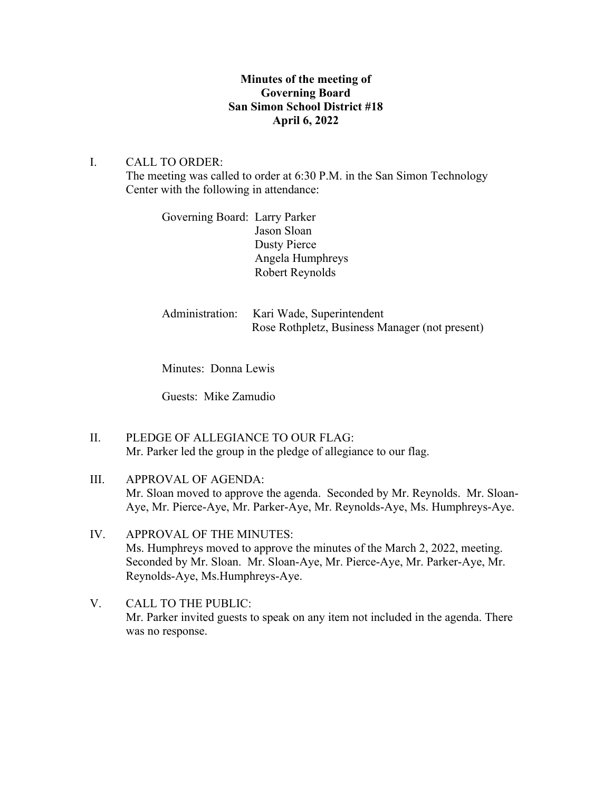# **Minutes of the meeting of Governing Board San Simon School District #18 April 6, 2022**

## I. CALL TO ORDER:

The meeting was called to order at 6:30 P.M. in the San Simon Technology Center with the following in attendance:

Governing Board: Larry Parker Jason Sloan Dusty Pierce Angela Humphreys Robert Reynolds

Administration: Kari Wade, Superintendent Rose Rothpletz, Business Manager (not present)

Minutes: Donna Lewis

Guests: Mike Zamudio

II. PLEDGE OF ALLEGIANCE TO OUR FLAG: Mr. Parker led the group in the pledge of allegiance to our flag.

# III. APPROVAL OF AGENDA: Mr. Sloan moved to approve the agenda. Seconded by Mr. Reynolds. Mr. Sloan-Aye, Mr. Pierce-Aye, Mr. Parker-Aye, Mr. Reynolds-Aye, Ms. Humphreys-Aye.

# IV. APPROVAL OF THE MINUTES: Ms. Humphreys moved to approve the minutes of the March 2, 2022, meeting. Seconded by Mr. Sloan. Mr. Sloan-Aye, Mr. Pierce-Aye, Mr. Parker-Aye, Mr. Reynolds-Aye, Ms.Humphreys-Aye.

V. CALL TO THE PUBLIC: Mr. Parker invited guests to speak on any item not included in the agenda. There was no response.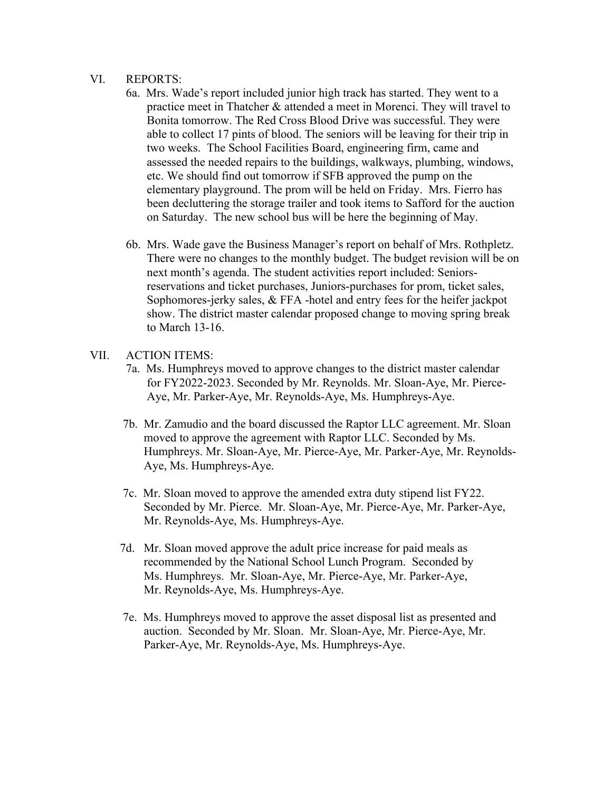#### VI. REPORTS:

- 6a. Mrs. Wade's report included junior high track has started. They went to a practice meet in Thatcher & attended a meet in Morenci. They will travel to Bonita tomorrow. The Red Cross Blood Drive was successful. They were able to collect 17 pints of blood. The seniors will be leaving for their trip in two weeks. The School Facilities Board, engineering firm, came and assessed the needed repairs to the buildings, walkways, plumbing, windows, etc. We should find out tomorrow if SFB approved the pump on the elementary playground. The prom will be held on Friday. Mrs. Fierro has been decluttering the storage trailer and took items to Safford for the auction on Saturday. The new school bus will be here the beginning of May.
- 6b. Mrs. Wade gave the Business Manager's report on behalf of Mrs. Rothpletz. There were no changes to the monthly budget. The budget revision will be on next month's agenda. The student activities report included: Seniorsreservations and ticket purchases, Juniors-purchases for prom, ticket sales, Sophomores-jerky sales, & FFA -hotel and entry fees for the heifer jackpot show. The district master calendar proposed change to moving spring break to March 13-16.

## VII. ACTION ITEMS:

- 7a. Ms. Humphreys moved to approve changes to the district master calendar for FY2022-2023. Seconded by Mr. Reynolds. Mr. Sloan-Aye, Mr. Pierce- Aye, Mr. Parker-Aye, Mr. Reynolds-Aye, Ms. Humphreys-Aye.
- 7b. Mr. Zamudio and the board discussed the Raptor LLC agreement. Mr. Sloan moved to approve the agreement with Raptor LLC. Seconded by Ms. Humphreys. Mr. Sloan-Aye, Mr. Pierce-Aye, Mr. Parker-Aye, Mr. Reynolds- Aye, Ms. Humphreys-Aye.
- 7c. Mr. Sloan moved to approve the amended extra duty stipend list FY22. Seconded by Mr. Pierce. Mr. Sloan-Aye, Mr. Pierce-Aye, Mr. Parker-Aye, Mr. Reynolds-Aye, Ms. Humphreys-Aye.
- 7d. Mr. Sloan moved approve the adult price increase for paid meals as recommended by the National School Lunch Program. Seconded by Ms. Humphreys. Mr. Sloan-Aye, Mr. Pierce-Aye, Mr. Parker-Aye, Mr. Reynolds-Aye, Ms. Humphreys-Aye.
- 7e. Ms. Humphreys moved to approve the asset disposal list as presented and auction. Seconded by Mr. Sloan. Mr. Sloan-Aye, Mr. Pierce-Aye, Mr. Parker-Aye, Mr. Reynolds-Aye, Ms. Humphreys-Aye.